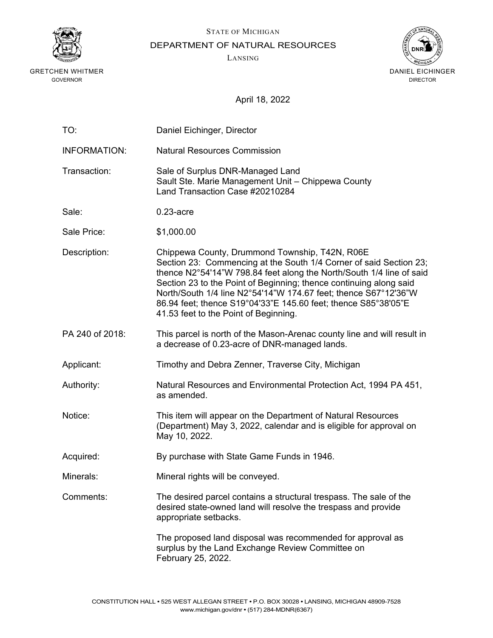

STATE OF MICHIGAN

DEPARTMENT OF NATURAL RESOURCES

LANSING



April 18, 2022

| TO:                 | Daniel Eichinger, Director                                                                                                                                                                                                                                                                                                                                                                                                                       |
|---------------------|--------------------------------------------------------------------------------------------------------------------------------------------------------------------------------------------------------------------------------------------------------------------------------------------------------------------------------------------------------------------------------------------------------------------------------------------------|
| <b>INFORMATION:</b> | <b>Natural Resources Commission</b>                                                                                                                                                                                                                                                                                                                                                                                                              |
| Transaction:        | Sale of Surplus DNR-Managed Land<br>Sault Ste. Marie Management Unit - Chippewa County<br>Land Transaction Case #20210284                                                                                                                                                                                                                                                                                                                        |
| Sale:               | $0.23$ -acre                                                                                                                                                                                                                                                                                                                                                                                                                                     |
| Sale Price:         | \$1,000.00                                                                                                                                                                                                                                                                                                                                                                                                                                       |
| Description:        | Chippewa County, Drummond Township, T42N, R06E<br>Section 23: Commencing at the South 1/4 Corner of said Section 23;<br>thence N2°54'14"W 798.84 feet along the North/South 1/4 line of said<br>Section 23 to the Point of Beginning; thence continuing along said<br>North/South 1/4 line N2°54'14"W 174.67 feet; thence S67°12'36"W<br>86.94 feet; thence S19°04'33"E 145.60 feet; thence S85°38'05"E<br>41.53 feet to the Point of Beginning. |
| PA 240 of 2018:     | This parcel is north of the Mason-Arenac county line and will result in<br>a decrease of 0.23-acre of DNR-managed lands.                                                                                                                                                                                                                                                                                                                         |
| Applicant:          | Timothy and Debra Zenner, Traverse City, Michigan                                                                                                                                                                                                                                                                                                                                                                                                |
| Authority:          | Natural Resources and Environmental Protection Act, 1994 PA 451,<br>as amended.                                                                                                                                                                                                                                                                                                                                                                  |
| Notice:             | This item will appear on the Department of Natural Resources<br>(Department) May 3, 2022, calendar and is eligible for approval on<br>May 10, 2022.                                                                                                                                                                                                                                                                                              |
| Acquired:           | By purchase with State Game Funds in 1946.                                                                                                                                                                                                                                                                                                                                                                                                       |
| Minerals:           | Mineral rights will be conveyed.                                                                                                                                                                                                                                                                                                                                                                                                                 |
| Comments:           | The desired parcel contains a structural trespass. The sale of the<br>desired state-owned land will resolve the trespass and provide<br>appropriate setbacks.                                                                                                                                                                                                                                                                                    |
|                     | The proposed land disposal was recommended for approval as<br>surplus by the Land Exchange Review Committee on<br>February 25, 2022.                                                                                                                                                                                                                                                                                                             |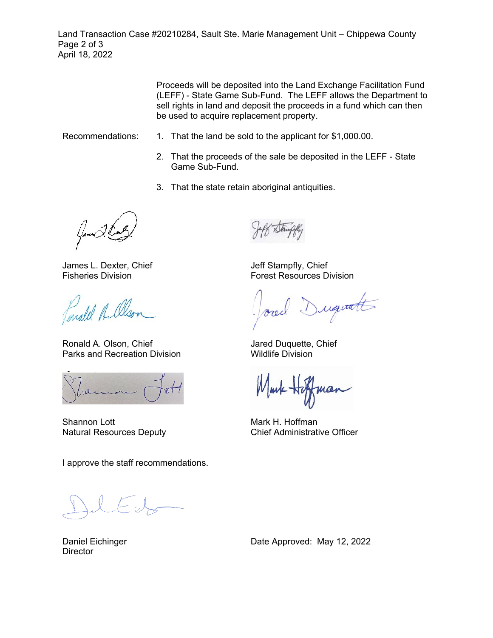Land Transaction Case #20210284, Sault Ste. Marie Management Unit – Chippewa County Page 2 of 3 April 18, 2022

> Proceeds will be deposited into the Land Exchange Facilitation Fund (LEFF) - State Game Sub-Fund. The LEFF allows the Department to sell rights in land and deposit the proceeds in a fund which can then be used to acquire replacement property.

- Recommendations: 1. That the land be sold to the applicant for \$1,000.00.
	- 2. That the proceeds of the sale be deposited in the LEFF State Game Sub-Fund.
	- 3. That the state retain aboriginal antiquities.

James L. Dexter, Chief Fisheries Division

malel Albor

Ronald A. Olson, Chief Parks and Recreation Division

ran

Shannon Lott Natural Resources Deputy

I approve the staff recommendations.

Jeff Stampfly, Chief Forest Resources Division

requests

Jared Duquette, Chief Wildlife Division

Mark H. Hoffman Chief Administrative Officer

Daniel Eichinger **Director**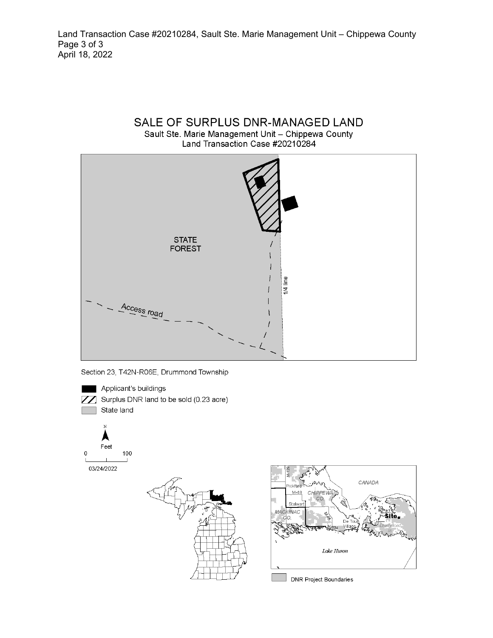Land Transaction Case #20210284, Sault Ste. Marie Management Unit – Chippewa County Page 3 of 3 April 18, 2022



Section 23, T42N-R06E, Drummond Township

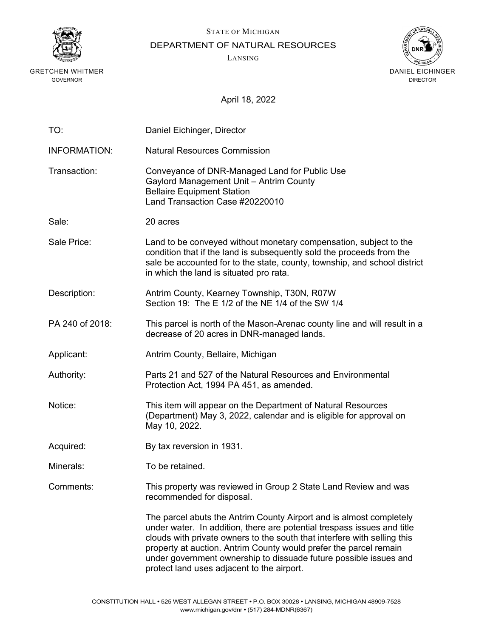

STATE OF MICHIGAN

DEPARTMENT OF NATURAL RESOURCES

LANSING



April 18, 2022

| TO:                 | Daniel Eichinger, Director                                                                                                                                                                                                                                                                                                                                                                                         |
|---------------------|--------------------------------------------------------------------------------------------------------------------------------------------------------------------------------------------------------------------------------------------------------------------------------------------------------------------------------------------------------------------------------------------------------------------|
| <b>INFORMATION:</b> | <b>Natural Resources Commission</b>                                                                                                                                                                                                                                                                                                                                                                                |
| Transaction:        | Conveyance of DNR-Managed Land for Public Use<br>Gaylord Management Unit - Antrim County<br><b>Bellaire Equipment Station</b><br>Land Transaction Case #20220010                                                                                                                                                                                                                                                   |
| Sale:               | 20 acres                                                                                                                                                                                                                                                                                                                                                                                                           |
| Sale Price:         | Land to be conveyed without monetary compensation, subject to the<br>condition that if the land is subsequently sold the proceeds from the<br>sale be accounted for to the state, county, township, and school district<br>in which the land is situated pro rata.                                                                                                                                                 |
| Description:        | Antrim County, Kearney Township, T30N, R07W<br>Section 19: The E 1/2 of the NE 1/4 of the SW 1/4                                                                                                                                                                                                                                                                                                                   |
| PA 240 of 2018:     | This parcel is north of the Mason-Arenac county line and will result in a<br>decrease of 20 acres in DNR-managed lands.                                                                                                                                                                                                                                                                                            |
| Applicant:          | Antrim County, Bellaire, Michigan                                                                                                                                                                                                                                                                                                                                                                                  |
| Authority:          | Parts 21 and 527 of the Natural Resources and Environmental<br>Protection Act, 1994 PA 451, as amended.                                                                                                                                                                                                                                                                                                            |
| Notice:             | This item will appear on the Department of Natural Resources<br>(Department) May 3, 2022, calendar and is eligible for approval on<br>May 10, 2022.                                                                                                                                                                                                                                                                |
| Acquired:           | By tax reversion in 1931.                                                                                                                                                                                                                                                                                                                                                                                          |
| Minerals:           | To be retained.                                                                                                                                                                                                                                                                                                                                                                                                    |
| Comments:           | This property was reviewed in Group 2 State Land Review and was<br>recommended for disposal.                                                                                                                                                                                                                                                                                                                       |
|                     | The parcel abuts the Antrim County Airport and is almost completely<br>under water. In addition, there are potential trespass issues and title<br>clouds with private owners to the south that interfere with selling this<br>property at auction. Antrim County would prefer the parcel remain<br>under government ownership to dissuade future possible issues and<br>protect land uses adjacent to the airport. |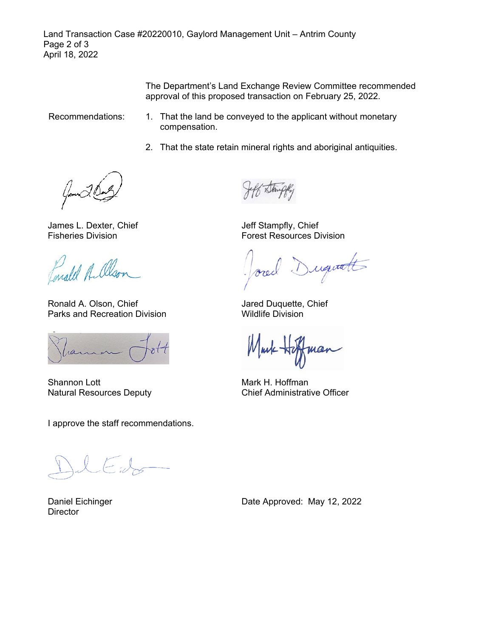Land Transaction Case #20220010, Gaylord Management Unit – Antrim County Page 2 of 3 April 18, 2022

> The Department's Land Exchange Review Committee recommended approval of this proposed transaction on February 25, 2022.

- Recommendations: 1. That the land be conveyed to the applicant without monetary compensation.
	- 2. That the state retain mineral rights and aboriginal antiquities.

James L. Dexter, Chief Fisheries Division

Forald A. Olson

Ronald A. Olson, Chief Parks and Recreation Division

ran

Shannon Lott Natural Resources Deputy

I approve the staff recommendations.

Daniel Eichinger **Director** 

Jeff Stampfly, Chief Forest Resources Division

Duquatt

Jared Duquette, Chief Wildlife Division

nos

Mark H. Hoffman Chief Administrative Officer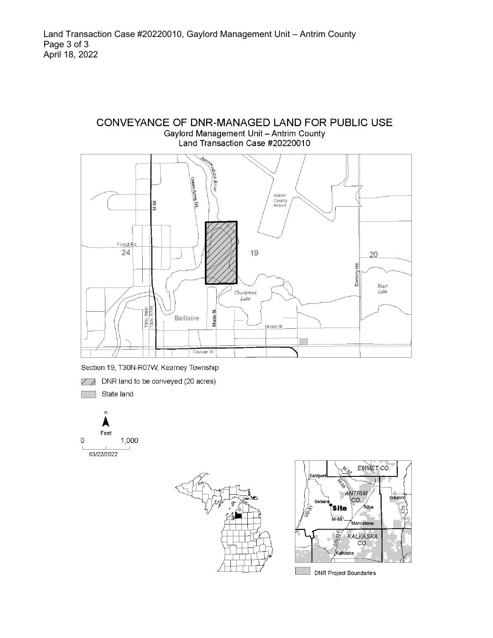CONVEYANCE OF DNR-MANAGED LAND FOR PUBLIC USE Gaylord Management Unit - Antrim County Land Transaction Case #20220010





 $\nabla$  DNR land to be conveyed (20 acres) State land





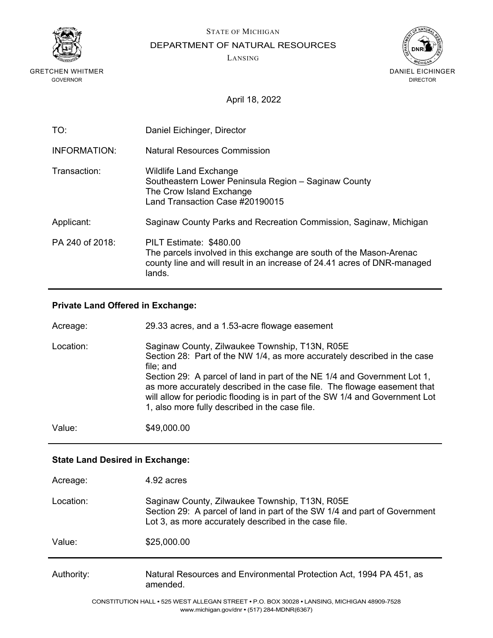

STATE OF MICHIGAN

DEPARTMENT OF NATURAL RESOURCES

LANSING



April 18, 2022

| TO:                 | Daniel Eichinger, Director                                                                                                                                                           |
|---------------------|--------------------------------------------------------------------------------------------------------------------------------------------------------------------------------------|
| <b>INFORMATION:</b> | Natural Resources Commission                                                                                                                                                         |
| Transaction:        | <b>Wildlife Land Exchange</b><br>Southeastern Lower Peninsula Region - Saginaw County<br>The Crow Island Exchange<br>Land Transaction Case #20190015                                 |
| Applicant:          | Saginaw County Parks and Recreation Commission, Saginaw, Michigan                                                                                                                    |
| PA 240 of 2018:     | PILT Estimate: \$480.00<br>The parcels involved in this exchange are south of the Mason-Arenac<br>county line and will result in an increase of 24.41 acres of DNR-managed<br>lands. |

## **Private Land Offered in Exchange:**

Acreage: 29.33 acres, and a 1.53-acre flowage easement Location: Saginaw County, Zilwaukee Township, T13N, R05E Section 28: Part of the NW 1/4, as more accurately described in the case file; and Section 29: A parcel of land in part of the NE 1/4 and Government Lot 1, as more accurately described in the case file. The flowage easement that will allow for periodic flooding is in part of the SW 1/4 and Government Lot 1, also more fully described in the case file. Value: \$49,000.00

## **State Land Desired in Exchange:**

| Acreage: | 4.92 acres |
|----------|------------|
|----------|------------|

Location: Saginaw County, Zilwaukee Township, T13N, R05E Section 29: A parcel of land in part of the SW 1/4 and part of Government Lot 3, as more accurately described in the case file.

Value: \$25,000.00

Authority: Natural Resources and Environmental Protection Act, 1994 PA 451, as amended.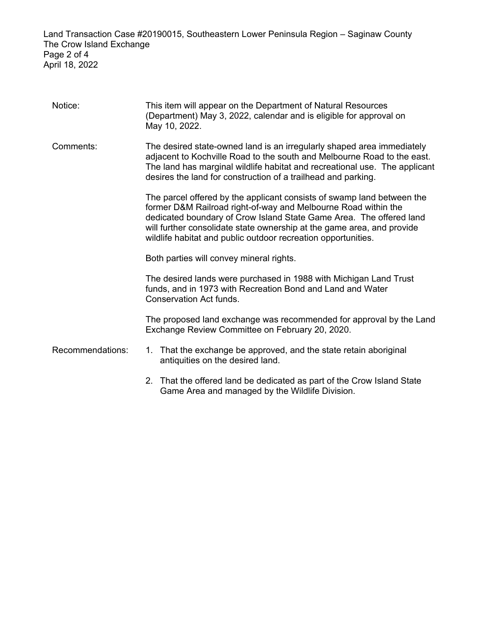Land Transaction Case #20190015, Southeastern Lower Peninsula Region – Saginaw County The Crow Island Exchange Page 2 of 4 April 18, 2022

| Notice:          | This item will appear on the Department of Natural Resources<br>(Department) May 3, 2022, calendar and is eligible for approval on<br>May 10, 2022.                                                                                                                                                                                                        |
|------------------|------------------------------------------------------------------------------------------------------------------------------------------------------------------------------------------------------------------------------------------------------------------------------------------------------------------------------------------------------------|
| Comments:        | The desired state-owned land is an irregularly shaped area immediately<br>adjacent to Kochville Road to the south and Melbourne Road to the east.<br>The land has marginal wildlife habitat and recreational use. The applicant<br>desires the land for construction of a trailhead and parking.                                                           |
|                  | The parcel offered by the applicant consists of swamp land between the<br>former D&M Railroad right-of-way and Melbourne Road within the<br>dedicated boundary of Crow Island State Game Area. The offered land<br>will further consolidate state ownership at the game area, and provide<br>wildlife habitat and public outdoor recreation opportunities. |
|                  | Both parties will convey mineral rights.                                                                                                                                                                                                                                                                                                                   |
|                  | The desired lands were purchased in 1988 with Michigan Land Trust<br>funds, and in 1973 with Recreation Bond and Land and Water<br>Conservation Act funds.                                                                                                                                                                                                 |
|                  | The proposed land exchange was recommended for approval by the Land<br>Exchange Review Committee on February 20, 2020.                                                                                                                                                                                                                                     |
| Recommendations: | 1. That the exchange be approved, and the state retain aboriginal<br>antiquities on the desired land.                                                                                                                                                                                                                                                      |
|                  | 2. That the offered land be dedicated as part of the Crow Island State<br>Game Area and managed by the Wildlife Division.                                                                                                                                                                                                                                  |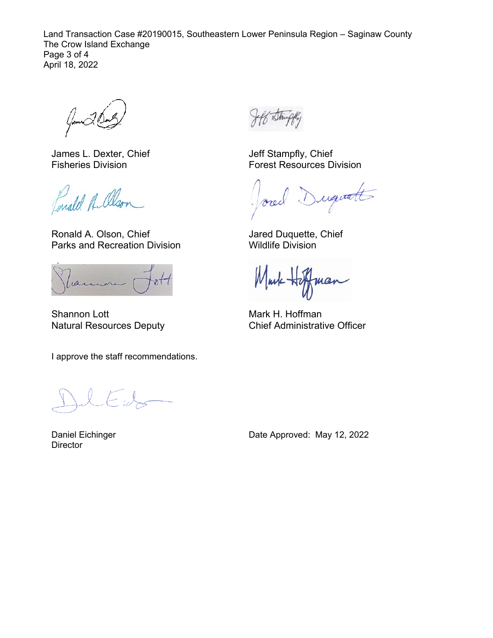Land Transaction Case #20190015, Southeastern Lower Peninsula Region – Saginaw County The Crow Island Exchange Page 3 of 4 April 18, 2022

James L. Dexter, Chief Fisheries Division

Conald A. Olson

Ronald A. Olson, Chief Parks and Recreation Division

Shannon Lott Natural Resources Deputy

I approve the staff recommendations.

 $\sim$ 

Daniel Eichinger **Director** 

Jeff Stampfly, Chief Forest Resources Division

Duquatt ored

Jared Duquette, Chief Wildlife Division

Mark Ho man

Mark H. Hoffman Chief Administrative Officer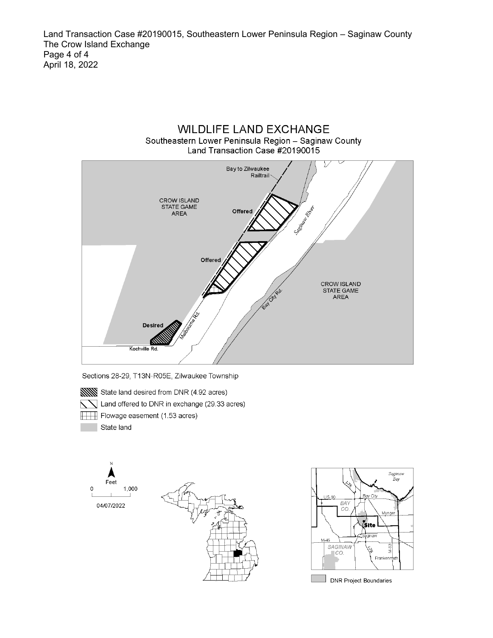Land Transaction Case #20190015, Southeastern Lower Peninsula Region – Saginaw County The Crow Island Exchange Page 4 of 4 April 18, 2022



Sections 28-29, T13N-R05E, Zilwaukee Township







**DNR Project Boundaries**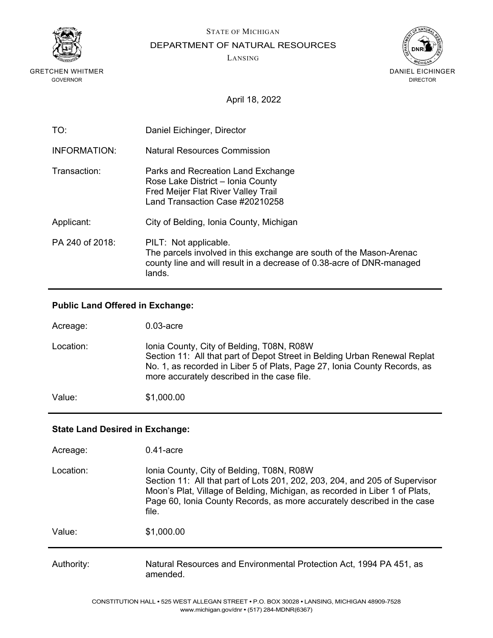

STATE OF MICHIGAN

DEPARTMENT OF NATURAL RESOURCES

LANSING



April 18, 2022

| TO:                 | Daniel Eichinger, Director                                                                                                                                                      |
|---------------------|---------------------------------------------------------------------------------------------------------------------------------------------------------------------------------|
| <b>INFORMATION:</b> | Natural Resources Commission                                                                                                                                                    |
| Transaction:        | Parks and Recreation Land Exchange<br>Rose Lake District - Ionia County<br>Fred Meijer Flat River Valley Trail<br>Land Transaction Case #20210258                               |
| Applicant:          | City of Belding, Ionia County, Michigan                                                                                                                                         |
| PA 240 of 2018:     | PILT: Not applicable.<br>The parcels involved in this exchange are south of the Mason-Arenac<br>county line and will result in a decrease of 0.38-acre of DNR-managed<br>lands. |

## **Public Land Offered in Exchange:**

| Acreage:  | $0.03$ -acre                                                                                                                                                                                                                                       |
|-----------|----------------------------------------------------------------------------------------------------------------------------------------------------------------------------------------------------------------------------------------------------|
| Location: | Ionia County, City of Belding, T08N, R08W<br>Section 11: All that part of Depot Street in Belding Urban Renewal Replat<br>No. 1, as recorded in Liber 5 of Plats, Page 27, Ionia County Records, as<br>more accurately described in the case file. |
| Value:    | \$1,000.00                                                                                                                                                                                                                                         |

## **State Land Desired in Exchange:**

| Acreage:   | $0.41$ -acre                                                                                                                                                                                                                                                                                |
|------------|---------------------------------------------------------------------------------------------------------------------------------------------------------------------------------------------------------------------------------------------------------------------------------------------|
| Location:  | Ionia County, City of Belding, T08N, R08W<br>Section 11: All that part of Lots 201, 202, 203, 204, and 205 of Supervisor<br>Moon's Plat, Village of Belding, Michigan, as recorded in Liber 1 of Plats,<br>Page 60, Ionia County Records, as more accurately described in the case<br>file. |
| Value:     | \$1,000.00                                                                                                                                                                                                                                                                                  |
| Authority: | Natural Resources and Environmental Protection Act, 1994 PA 451, as<br>amended                                                                                                                                                                                                              |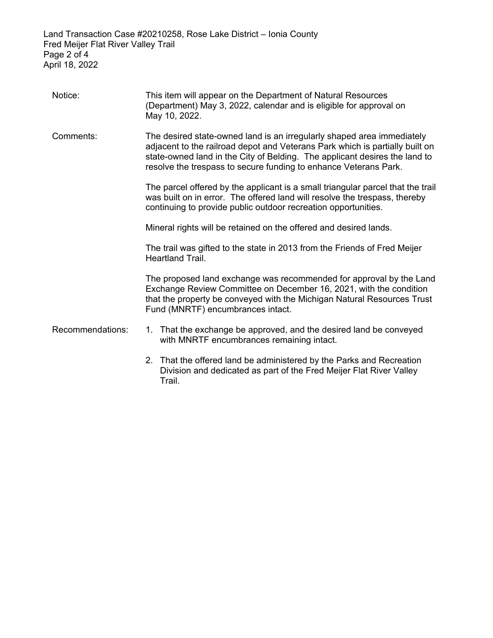Land Transaction Case #20210258, Rose Lake District – Ionia County Fred Meijer Flat River Valley Trail Page 2 of 4 April 18, 2022

Trail.

| Notice:          | This item will appear on the Department of Natural Resources<br>(Department) May 3, 2022, calendar and is eligible for approval on<br>May 10, 2022.                                                                                                                                                      |
|------------------|----------------------------------------------------------------------------------------------------------------------------------------------------------------------------------------------------------------------------------------------------------------------------------------------------------|
| Comments:        | The desired state-owned land is an irregularly shaped area immediately<br>adjacent to the railroad depot and Veterans Park which is partially built on<br>state-owned land in the City of Belding. The applicant desires the land to<br>resolve the trespass to secure funding to enhance Veterans Park. |
|                  | The parcel offered by the applicant is a small triangular parcel that the trail<br>was built on in error. The offered land will resolve the trespass, thereby<br>continuing to provide public outdoor recreation opportunities.                                                                          |
|                  | Mineral rights will be retained on the offered and desired lands.                                                                                                                                                                                                                                        |
|                  | The trail was gifted to the state in 2013 from the Friends of Fred Meijer<br>Heartland Trail.                                                                                                                                                                                                            |
|                  | The proposed land exchange was recommended for approval by the Land<br>Exchange Review Committee on December 16, 2021, with the condition<br>that the property be conveyed with the Michigan Natural Resources Trust<br>Fund (MNRTF) encumbrances intact.                                                |
| Recommendations: | 1. That the exchange be approved, and the desired land be conveyed<br>with MNRTF encumbrances remaining intact.                                                                                                                                                                                          |
|                  | 2. That the offered land be administered by the Parks and Recreation                                                                                                                                                                                                                                     |

Division and dedicated as part of the Fred Meijer Flat River Valley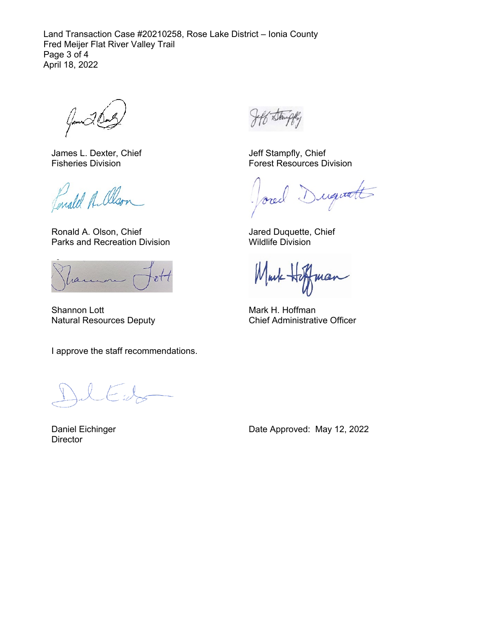Land Transaction Case #20210258, Rose Lake District – Ionia County Fred Meijer Flat River Valley Trail Page 3 of 4 April 18, 2022

James L. Dexter, Chief Fisheries Division

Conald A. Olson

Ronald A. Olson, Chief Parks and Recreation Division

ran

Shannon Lott Natural Resources Deputy

I approve the staff recommendations.

Daniel Eichinger **Director** 

Jeff Stampfly, Chief Forest Resources Division

Duquatt orec

Jared Duquette, Chief Wildlife Division

Markmar

Mark H. Hoffman Chief Administrative Officer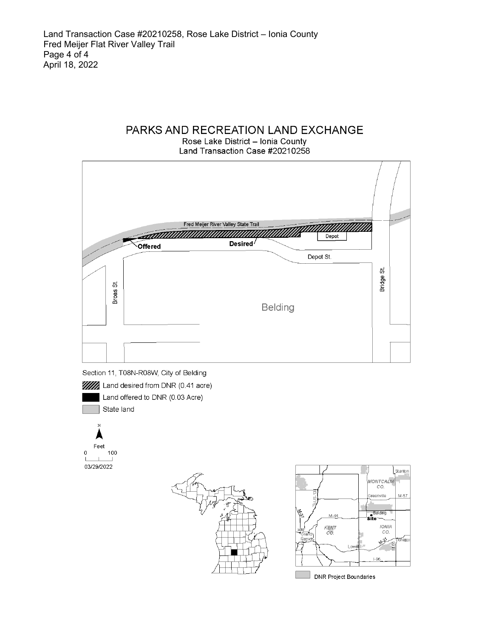





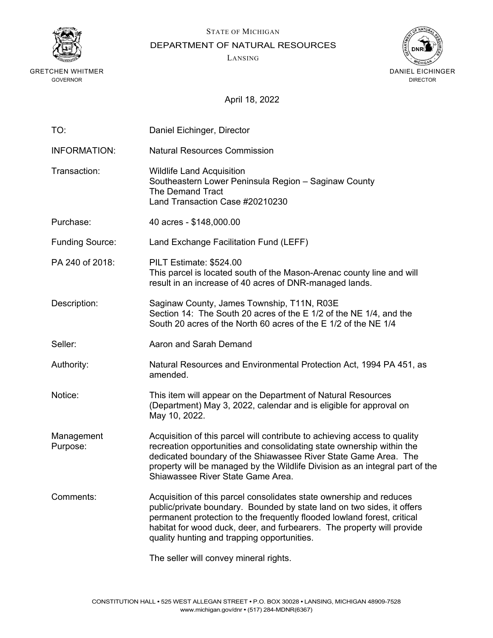



DEPARTMENT OF NATURAL RESOURCES

LANSING



April 18, 2022

| TO:                    | Daniel Eichinger, Director                                                                                                                                                                                                                                                                                                                        |
|------------------------|---------------------------------------------------------------------------------------------------------------------------------------------------------------------------------------------------------------------------------------------------------------------------------------------------------------------------------------------------|
| <b>INFORMATION:</b>    | <b>Natural Resources Commission</b>                                                                                                                                                                                                                                                                                                               |
| Transaction:           | <b>Wildlife Land Acquisition</b><br>Southeastern Lower Peninsula Region - Saginaw County<br><b>The Demand Tract</b><br>Land Transaction Case #20210230                                                                                                                                                                                            |
| Purchase:              | 40 acres - \$148,000.00                                                                                                                                                                                                                                                                                                                           |
| <b>Funding Source:</b> | Land Exchange Facilitation Fund (LEFF)                                                                                                                                                                                                                                                                                                            |
| PA 240 of 2018:        | PILT Estimate: \$524.00<br>This parcel is located south of the Mason-Arenac county line and will<br>result in an increase of 40 acres of DNR-managed lands.                                                                                                                                                                                       |
| Description:           | Saginaw County, James Township, T11N, R03E<br>Section 14: The South 20 acres of the E 1/2 of the NE 1/4, and the<br>South 20 acres of the North 60 acres of the E 1/2 of the NE 1/4                                                                                                                                                               |
| Seller:                | Aaron and Sarah Demand                                                                                                                                                                                                                                                                                                                            |
| Authority:             | Natural Resources and Environmental Protection Act, 1994 PA 451, as<br>amended.                                                                                                                                                                                                                                                                   |
| Notice:                | This item will appear on the Department of Natural Resources<br>(Department) May 3, 2022, calendar and is eligible for approval on<br>May 10, 2022.                                                                                                                                                                                               |
| Management<br>Purpose: | Acquisition of this parcel will contribute to achieving access to quality<br>recreation opportunities and consolidating state ownership within the<br>dedicated boundary of the Shiawassee River State Game Area. The<br>property will be managed by the Wildlife Division as an integral part of the<br>Shiawassee River State Game Area.        |
| Comments:              | Acquisition of this parcel consolidates state ownership and reduces<br>public/private boundary. Bounded by state land on two sides, it offers<br>permanent protection to the frequently flooded lowland forest, critical<br>habitat for wood duck, deer, and furbearers. The property will provide<br>quality hunting and trapping opportunities. |
|                        | The seller will convey mineral rights.                                                                                                                                                                                                                                                                                                            |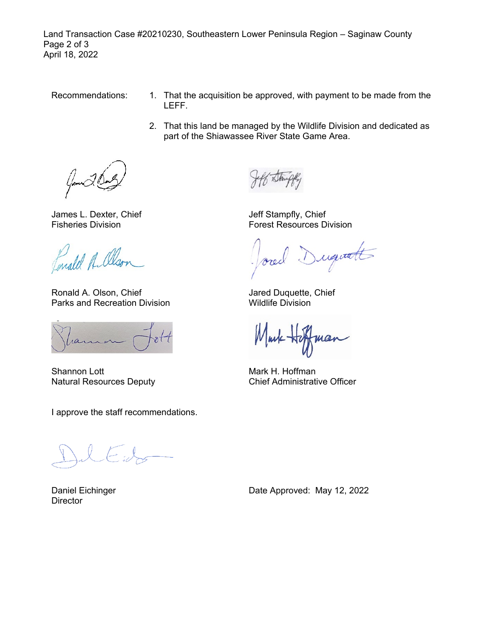Land Transaction Case #20210230, Southeastern Lower Peninsula Region – Saginaw County Page 2 of 3 April 18, 2022

- Recommendations: 1. That the acquisition be approved, with payment to be made from the LEFF.
	- 2. That this land be managed by the Wildlife Division and dedicated as part of the Shiawassee River State Game Area.

James L. Dexter, Chief Fisheries Division

Enald A. Olso

Ronald A. Olson, Chief Parks and Recreation Division

ran

Shannon Lott Natural Resources Deputy

I approve the staff recommendations.

Daniel Eichinger **Director** 

Jeff Stampfly, Chief Forest Resources Division

requate

Jared Duquette, Chief Wildlife Division

Muk-Ho man

Mark H. Hoffman Chief Administrative Officer